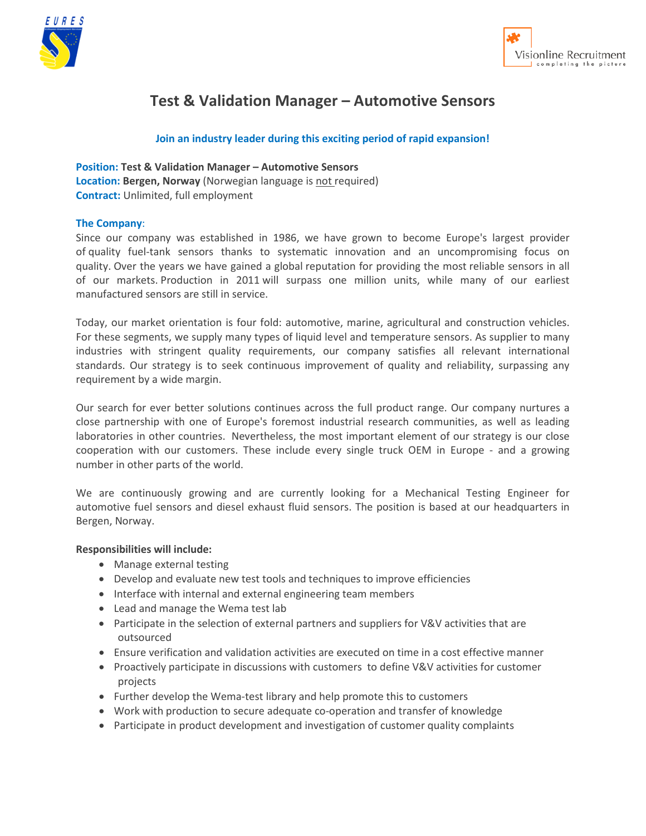



# **Test & Validation Manager – Automotive Sensors**

## **Join an industry leader during this exciting period of rapid expansion!**

**Position: Test & Validation Manager – Automotive Sensors** Location: Bergen, Norway (Norwegian language is not required) **Contract:** Unlimited, full employment

#### **The Company**:

Since our company was established in 1986, we have grown to become Europe's largest provider of quality fuel-tank sensors thanks to systematic innovation and an uncompromising focus on quality. Over the years we have gained a global reputation for providing the most reliable sensors in all of our markets. Production in 2011 will surpass one million units, while many of our earliest manufactured sensors are still in service.

Today, our market orientation is four fold: automotive, marine, agricultural and construction vehicles. For these segments, we supply many types of liquid level and temperature sensors. As supplier to many industries with stringent quality requirements, our company satisfies all relevant international standards. Our strategy is to seek continuous improvement of quality and reliability, surpassing any requirement by a wide margin.

Our search for ever better solutions continues across the full product range. Our company nurtures a close partnership with one of Europe's foremost industrial research communities, as well as leading laboratories in other countries. Nevertheless, the most important element of our strategy is our close cooperation with our customers. These include every single truck OEM in Europe - and a growing number in other parts of the world.

We are continuously growing and are currently looking for a Mechanical Testing Engineer for automotive fuel sensors and diesel exhaust fluid sensors. The position is based at our headquarters in Bergen, Norway.

#### **Responsibilities will include:**

- Manage external testing
- Develop and evaluate new test tools and techniques to improve efficiencies
- Interface with internal and external engineering team members
- Lead and manage the Wema test lab
- Participate in the selection of external partners and suppliers for V&V activities that are outsourced
- Ensure verification and validation activities are executed on time in a cost effective manner
- Proactively participate in discussions with customers to define V&V activities for customer projects
- Further develop the Wema-test library and help promote this to customers
- Work with production to secure adequate co-operation and transfer of knowledge
- Participate in product development and investigation of customer quality complaints